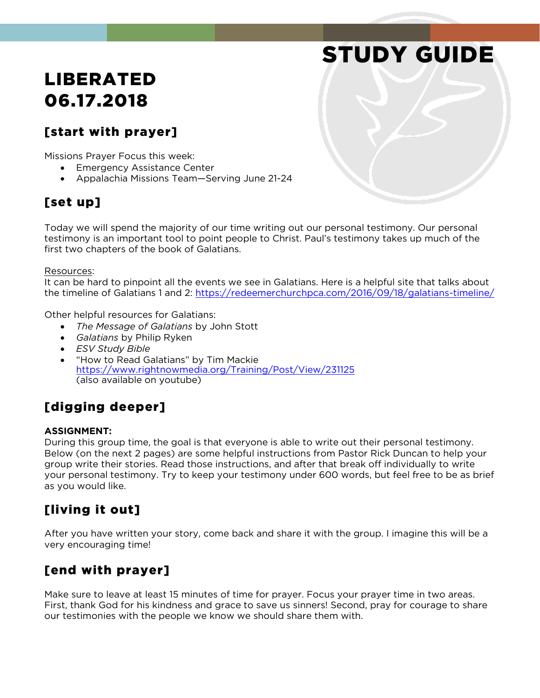# STUDY GUIDE

## LIBERATED 06.17.2018

### [start with prayer]

Missions Prayer Focus this week:

- **Emergency Assistance Center**
- Appalachia Missions Team—Serving June 21-24

### [set up]

Today we will spend the majority of our time writing out our personal testimony. Our personal testimony is an important tool to point people to Christ. Paul's testimony takes up much of the first two chapters of the book of Galatians.

#### Resources:

It can be hard to pinpoint all the events we see in Galatians. Here is a helpful site that talks about the timeline of Galatians 1 and 2:<https://redeemerchurchpca.com/2016/09/18/galatians-timeline/>

Other helpful resources for Galatians:

- *The Message of Galatians* by John Stott
- *Galatians* by Philip Ryken
- *ESV Study Bible*
- "How to Read Galatians" by Tim Mackie <https://www.rightnowmedia.org/Training/Post/View/231125> (also available on youtube)

### [digging deeper]

### **ASSIGNMENT:**

During this group time, the goal is that everyone is able to write out their personal testimony. Below (on the next 2 pages) are some helpful instructions from Pastor Rick Duncan to help your group write their stories. Read those instructions, and after that break off individually to write your personal testimony. Try to keep your testimony under 600 words, but feel free to be as brief as you would like.

### [living it out]

After you have written your story, come back and share it with the group. I imagine this will be a very encouraging time!

### [end with prayer]

Make sure to leave at least 15 minutes of time for prayer. Focus your prayer time in two areas. First, thank God for his kindness and grace to save us sinners! Second, pray for courage to share our testimonies with the people we know we should share them with.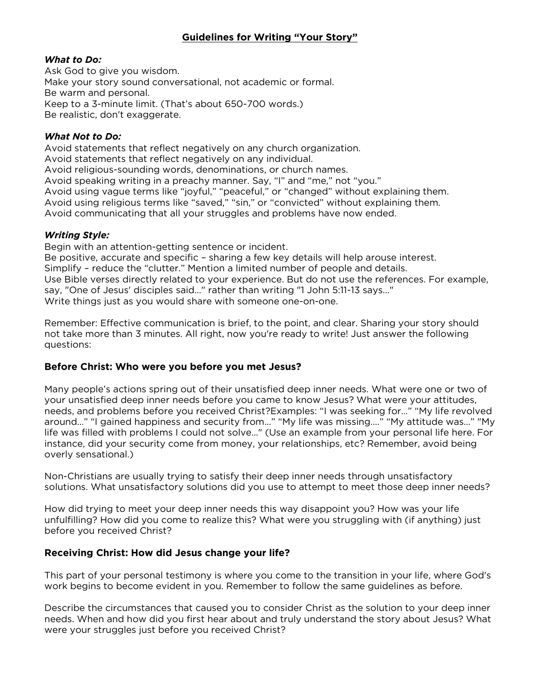### **Guidelines for Writing "Your Story"**

#### *What to Do:*

Ask God to give you wisdom. Make your story sound conversational, not academic or formal. Be warm and personal. Keep to a 3-minute limit. (That's about 650-700 words.) Be realistic, don't exaggerate.

#### *What Not to Do:*

Avoid statements that reflect negatively on any church organization. Avoid statements that reflect negatively on any individual. Avoid religious-sounding words, denominations, or church names. Avoid speaking writing in a preachy manner. Say, "I" and "me," not "you." Avoid using vague terms like "joyful," "peaceful," or "changed" without explaining them. Avoid using religious terms like "saved," "sin," or "convicted" without explaining them. Avoid communicating that all your struggles and problems have now ended.

### *Writing Style:*

Begin with an attention-getting sentence or incident. Be positive, accurate and specific – sharing a few key details will help arouse interest. Simplify – reduce the "clutter." Mention a limited number of people and details. Use Bible verses directly related to your experience. But do not use the references. For example, say, "One of Jesus' disciples said..." rather than writing "1 John 5:11-13 says..." Write things just as you would share with someone one-on-one.

Remember: Effective communication is brief, to the point, and clear. Sharing your story should not take more than 3 minutes. All right, now you're ready to write! Just answer the following questions:

### **Before Christ: Who were you before you met Jesus?**

Many people's actions spring out of their unsatisfied deep inner needs. What were one or two of your unsatisfied deep inner needs before you came to know Jesus? What were your attitudes, needs, and problems before you received Christ?Examples: "I was seeking for…" "My life revolved around..." "I gained happiness and security from..." "My life was missing...." "My attitude was..." "My life was filled with problems I could not solve..." (Use an example from your personal life here. For instance, did your security come from money, your relationships, etc? Remember, avoid being overly sensational.)

Non-Christians are usually trying to satisfy their deep inner needs through unsatisfactory solutions. What unsatisfactory solutions did you use to attempt to meet those deep inner needs?

How did trying to meet your deep inner needs this way disappoint you? How was your life unfulfilling? How did you come to realize this? What were you struggling with (if anything) just before you received Christ?

### **Receiving Christ: How did Jesus change your life?**

This part of your personal testimony is where you come to the transition in your life, where God's work begins to become evident in you. Remember to follow the same guidelines as before.

Describe the circumstances that caused you to consider Christ as the solution to your deep inner needs. When and how did you first hear about and truly understand the story about Jesus? What were your struggles just before you received Christ?